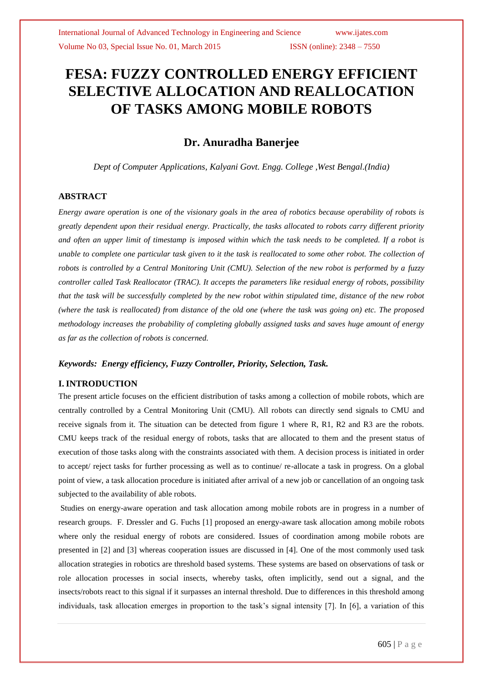# **FESA: FUZZY CONTROLLED ENERGY EFFICIENT SELECTIVE ALLOCATION AND REALLOCATION OF TASKS AMONG MOBILE ROBOTS**

# **Dr. Anuradha Banerjee**

*Dept of Computer Applications, Kalyani Govt. Engg. College ,West Bengal.(India)*

# **ABSTRACT**

*Energy aware operation is one of the visionary goals in the area of robotics because operability of robots is greatly dependent upon their residual energy. Practically, the tasks allocated to robots carry different priority and often an upper limit of timestamp is imposed within which the task needs to be completed. If a robot is unable to complete one particular task given to it the task is reallocated to some other robot. The collection of robots is controlled by a Central Monitoring Unit (CMU). Selection of the new robot is performed by a fuzzy controller called Task Reallocator (TRAC). It accepts the parameters like residual energy of robots, possibility that the task will be successfully completed by the new robot within stipulated time, distance of the new robot (where the task is reallocated) from distance of the old one (where the task was going on) etc. The proposed methodology increases the probability of completing globally assigned tasks and saves huge amount of energy as far as the collection of robots is concerned.*

# *Keywords: Energy efficiency, Fuzzy Controller, Priority, Selection, Task.*

# **I. INTRODUCTION**

The present article focuses on the efficient distribution of tasks among a collection of mobile robots, which are centrally controlled by a Central Monitoring Unit (CMU). All robots can directly send signals to CMU and receive signals from it. The situation can be detected from figure 1 where R, R1, R2 and R3 are the robots. CMU keeps track of the residual energy of robots, tasks that are allocated to them and the present status of execution of those tasks along with the constraints associated with them. A decision process is initiated in order to accept/ reject tasks for further processing as well as to continue/ re-allocate a task in progress. On a global point of view, a task allocation procedure is initiated after arrival of a new job or cancellation of an ongoing task subjected to the availability of able robots.

Studies on energy-aware operation and task allocation among mobile robots are in progress in a number of research groups. F. Dressler and G. Fuchs [1] proposed an energy-aware task allocation among mobile robots where only the residual energy of robots are considered. Issues of coordination among mobile robots are presented in [2] and [3] whereas cooperation issues are discussed in [4]. One of the most commonly used task allocation strategies in robotics are threshold based systems. These systems are based on observations of task or role allocation processes in social insects, whereby tasks, often implicitly, send out a signal, and the insects/robots react to this signal if it surpasses an internal threshold. Due to differences in this threshold among individuals, task allocation emerges in proportion to the task's signal intensity [7]. In [6], a variation of this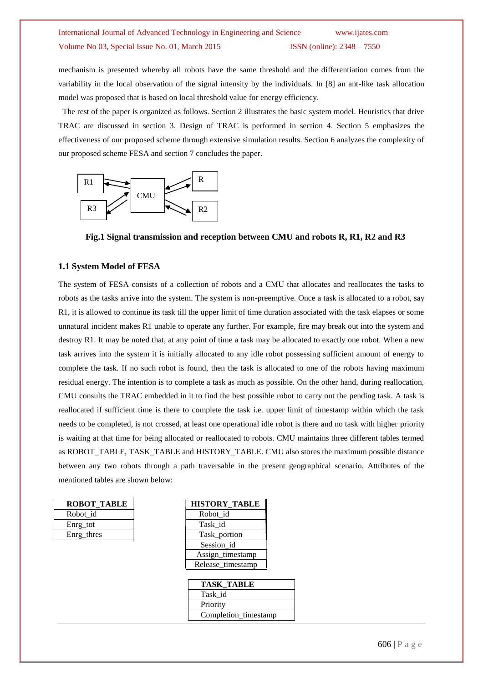mechanism is presented whereby all robots have the same threshold and the differentiation comes from the variability in the local observation of the signal intensity by the individuals. In [8] an ant-like task allocation model was proposed that is based on local threshold value for energy efficiency.

 The rest of the paper is organized as follows. Section 2 illustrates the basic system model. Heuristics that drive TRAC are discussed in section 3. Design of TRAC is performed in section 4. Section 5 emphasizes the effectiveness of our proposed scheme through extensive simulation results. Section 6 analyzes the complexity of our proposed scheme FESA and section 7 concludes the paper.



**Fig.1 Signal transmission and reception between CMU and robots R, R1, R2 and R3**

#### **1.1 System Model of FESA**

The system of FESA consists of a collection of robots and a CMU that allocates and reallocates the tasks to robots as the tasks arrive into the system. The system is non-preemptive. Once a task is allocated to a robot, say R1, it is allowed to continue its task till the upper limit of time duration associated with the task elapses or some unnatural incident makes R1 unable to operate any further. For example, fire may break out into the system and destroy R1. It may be noted that, at any point of time a task may be allocated to exactly one robot. When a new task arrives into the system it is initially allocated to any idle robot possessing sufficient amount of energy to complete the task. If no such robot is found, then the task is allocated to one of the robots having maximum residual energy. The intention is to complete a task as much as possible. On the other hand, during reallocation, CMU consults the TRAC embedded in it to find the best possible robot to carry out the pending task. A task is reallocated if sufficient time is there to complete the task i.e. upper limit of timestamp within which the task needs to be completed, is not crossed, at least one operational idle robot is there and no task with higher priority is waiting at that time for being allocated or reallocated to robots. CMU maintains three different tables termed as ROBOT\_TABLE, TASK\_TABLE and HISTORY\_TABLE. CMU also stores the maximum possible distance between any two robots through a path traversable in the present geographical scenario. Attributes of the mentioned tables are shown below:

| <b>ROBOT TABLE</b> | <b>HISTORY TA</b> |
|--------------------|-------------------|
| Robot id           | Robot id          |
| Enrg tot           | Task id           |
| Enrg_thres         | Task_portion      |
|                    |                   |

| <b>ROBOT_TABLE</b> | <b>HISTORY TABLE</b> |
|--------------------|----------------------|
| Robot_id           | Robot_id             |
| Enrg_tot           | Task id              |
| Enrg_thres         | Task_portion         |
|                    | Session id           |
|                    | Assign_timestamp     |
|                    | Release_timestamp    |

| <b>TASK TABLE</b>    |  |
|----------------------|--|
| Task id              |  |
| Priority             |  |
| Completion_timestamp |  |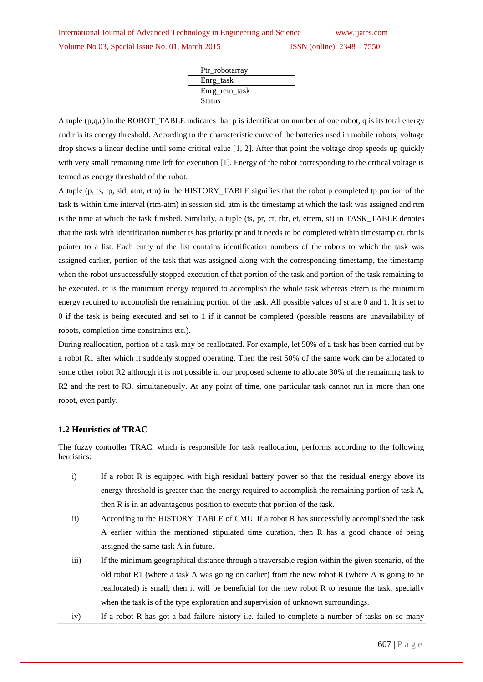| Ptr_robotarray |
|----------------|
| Enrg_task      |
| Enrg rem task  |
| <b>Status</b>  |
|                |

A tuple (p,q,r) in the ROBOT\_TABLE indicates that p is identification number of one robot, q is its total energy and r is its energy threshold. According to the characteristic curve of the batteries used in mobile robots, voltage drop shows a linear decline until some critical value [1, 2]. After that point the voltage drop speeds up quickly with very small remaining time left for execution [1]. Energy of the robot corresponding to the critical voltage is termed as energy threshold of the robot.

A tuple (p, ts, tp, sid, atm, rtm) in the HISTORY\_TABLE signifies that the robot p completed tp portion of the task ts within time interval (rtm-atm) in session sid. atm is the timestamp at which the task was assigned and rtm is the time at which the task finished. Similarly, a tuple (ts, pr, ct, rbr, et, etrem, st) in TASK\_TABLE denotes that the task with identification number ts has priority pr and it needs to be completed within timestamp ct. rbr is pointer to a list. Each entry of the list contains identification numbers of the robots to which the task was assigned earlier, portion of the task that was assigned along with the corresponding timestamp, the timestamp when the robot unsuccessfully stopped execution of that portion of the task and portion of the task remaining to be executed. et is the minimum energy required to accomplish the whole task whereas etrem is the minimum energy required to accomplish the remaining portion of the task. All possible values of st are 0 and 1. It is set to 0 if the task is being executed and set to 1 if it cannot be completed (possible reasons are unavailability of robots, completion time constraints etc.).

During reallocation, portion of a task may be reallocated. For example, let 50% of a task has been carried out by a robot R1 after which it suddenly stopped operating. Then the rest 50% of the same work can be allocated to some other robot R2 although it is not possible in our proposed scheme to allocate 30% of the remaining task to R2 and the rest to R3, simultaneously. At any point of time, one particular task cannot run in more than one robot, even partly.

### **1.2 Heuristics of TRAC**

The fuzzy controller TRAC, which is responsible for task reallocation, performs according to the following heuristics:

- i) If a robot R is equipped with high residual battery power so that the residual energy above its energy threshold is greater than the energy required to accomplish the remaining portion of task A, then R is in an advantageous position to execute that portion of the task.
- ii) According to the HISTORY\_TABLE of CMU, if a robot R has successfully accomplished the task A earlier within the mentioned stipulated time duration, then R has a good chance of being assigned the same task A in future.
- iii) If the minimum geographical distance through a traversable region within the given scenario, of the old robot R1 (where a task A was going on earlier) from the new robot R (where A is going to be reallocated) is small, then it will be beneficial for the new robot R to resume the task, specially when the task is of the type exploration and supervision of unknown surroundings.
- iv) If a robot R has got a bad failure history i.e. failed to complete a number of tasks on so many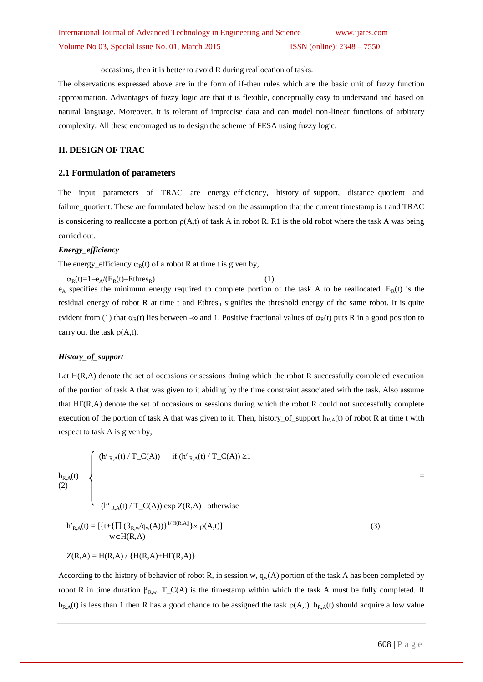occasions, then it is better to avoid R during reallocation of tasks.

The observations expressed above are in the form of if-then rules which are the basic unit of fuzzy function approximation. Advantages of fuzzy logic are that it is flexible, conceptually easy to understand and based on natural language. Moreover, it is tolerant of imprecise data and can model non-linear functions of arbitrary complexity. All these encouraged us to design the scheme of FESA using fuzzy logic.

# **II. DESIGN OF TRAC**

### **2.1 Formulation of parameters**

The input parameters of TRAC are energy\_efficiency, history\_of\_support, distance\_quotient and failure\_quotient. These are formulated below based on the assumption that the current timestamp is t and TRAC is considering to reallocate a portion  $p(A,t)$  of task A in robot R. R1 is the old robot where the task A was being carried out.

#### *Energy\_efficiency*

The energy efficiency  $\alpha_R(t)$  of a robot R at time t is given by,

 $\alpha_R(t)=1-e_A/(E_R(t)-Ethres_R)$  (1)  $e_A$  specifies the minimum energy required to complete portion of the task A to be reallocated.  $E_R(t)$  is the residual energy of robot R at time t and Ethres<sub>R</sub> signifies the threshold energy of the same robot. It is quite evident from (1) that  $\alpha_R(t)$  lies between - $\infty$  and 1. Positive fractional values of  $\alpha_R(t)$  puts R in a good position to carry out the task  $\rho(A,t)$ .

#### *History\_of\_support*

Let H(R,A) denote the set of occasions or sessions during which the robot R successfully completed execution of the portion of task A that was given to it abiding by the time constraint associated with the task. Also assume that HF(R,A) denote the set of occasions or sessions during which the robot R could not successfully complete execution of the portion of task A that was given to it. Then, history\_of\_support  $h_{R,A}(t)$  of robot R at time t with respect to task A is given by,

$$
h_{R,A}(t) = \begin{cases} (h'_{R,A}(t) / T_C(A)) & \text{if } (h'_{R,A}(t) / T_C(A)) \ge 1 \\ & \\ (h'_{R,A}(t) / T_C(A)) \exp Z(R,A) & \text{otherwise} \end{cases}
$$
  

$$
h'_{R,A}(t) = [\{t + {\{\prod (\beta_{R,w}/q_w(A))}\}^{1/|H(R,A)|} \} \times \rho(A,t)]
$$
(3)

$$
Z(R,A) = H(R,A) / {H(R,A) + HF(R,A)}
$$

 $w \in H(R,A)$ 

According to the history of behavior of robot R, in session w,  $q_w(A)$  portion of the task A has been completed by robot R in time duration  $\beta_{R,w}$ . T\_C(A) is the timestamp within which the task A must be fully completed. If  $h_{R,A}(t)$  is less than 1 then R has a good chance to be assigned the task  $\rho(A,t)$ .  $h_{R,A}(t)$  should acquire a low value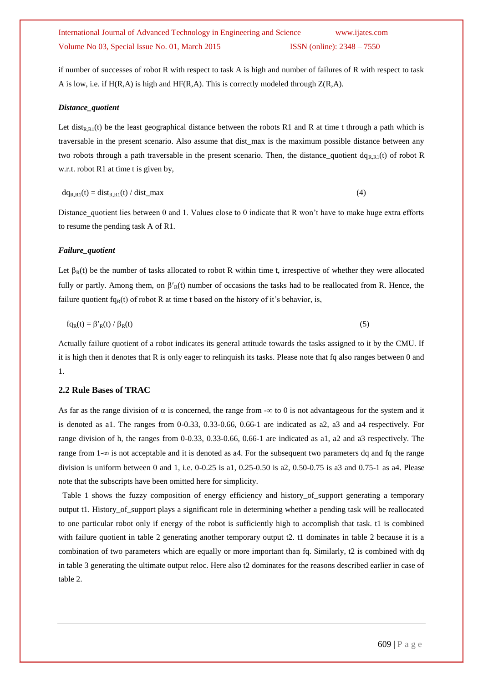if number of successes of robot R with respect to task A is high and number of failures of R with respect to task A is low, i.e. if  $H(R,A)$  is high and  $HF(R,A)$ . This is correctly modeled through  $Z(R,A)$ .

#### *Distance\_quotient*

Let dist<sub>R,R1</sub>(t) be the least geographical distance between the robots R1 and R at time t through a path which is traversable in the present scenario. Also assume that dist\_max is the maximum possible distance between any two robots through a path traversable in the present scenario. Then, the distance\_quotient  $dq_{R,R}(t)$  of robot R w.r.t. robot R1 at time t is given by,

$$
dq_{R,R1}(t) = dist_{R,R1}(t) / dist\_max
$$
\n(4)

Distance quotient lies between 0 and 1. Values close to 0 indicate that R won't have to make huge extra efforts to resume the pending task A of R1.

#### *Failure\_quotient*

Let  $\beta_R(t)$  be the number of tasks allocated to robot R within time t, irrespective of whether they were allocated fully or partly. Among them, on  $\beta'_{R}(t)$  number of occasions the tasks had to be reallocated from R. Hence, the failure quotient fq<sub>R</sub>(t) of robot R at time t based on the history of it's behavior, is,

$$
f q_R(t) = \beta'_{R}(t) / \beta_{R}(t) \tag{5}
$$

Actually failure quotient of a robot indicates its general attitude towards the tasks assigned to it by the CMU. If it is high then it denotes that R is only eager to relinquish its tasks. Please note that fq also ranges between 0 and 1.

# **2.2 Rule Bases of TRAC**

As far as the range division of  $\alpha$  is concerned, the range from  $-\infty$  to 0 is not advantageous for the system and it is denoted as a1. The ranges from 0-0.33, 0.33-0.66, 0.66-1 are indicated as a2, a3 and a4 respectively. For range division of h, the ranges from 0-0.33, 0.33-0.66, 0.66-1 are indicated as a1, a2 and a3 respectively. The range from  $1-\infty$  is not acceptable and it is denoted as a4. For the subsequent two parameters dq and fq the range division is uniform between 0 and 1, i.e.  $0.025$  is a1,  $0.25$ -0.50 is a2,  $0.50$ -0.75 is a3 and  $0.75$ -1 as a4. Please note that the subscripts have been omitted here for simplicity.

Table 1 shows the fuzzy composition of energy efficiency and history of support generating a temporary output t1. History\_of\_support plays a significant role in determining whether a pending task will be reallocated to one particular robot only if energy of the robot is sufficiently high to accomplish that task. t1 is combined with failure quotient in table 2 generating another temporary output t2. t1 dominates in table 2 because it is a combination of two parameters which are equally or more important than fq. Similarly, t2 is combined with dq in table 3 generating the ultimate output reloc. Here also t2 dominates for the reasons described earlier in case of table 2.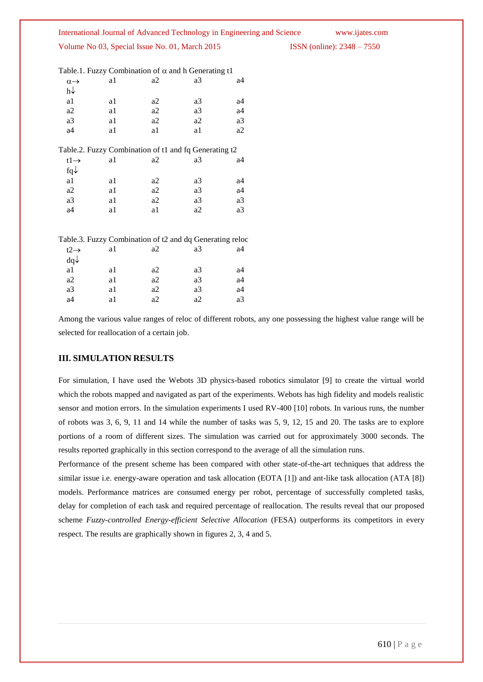International Journal of Advanced Technology in Engineering and Science www.ijates.com ISSN (online): 2348 – 7550

|  |  |  |  | Volume No 03, Special Issue No. 01, March 2015 |  |
|--|--|--|--|------------------------------------------------|--|
|  |  |  |  |                                                |  |

Table.1. Fuzzy Combination of  $\alpha$  and h Generating t1

| $\alpha \rightarrow$ | a1 | a2                                                    | a3 | a4 |
|----------------------|----|-------------------------------------------------------|----|----|
| h↓                   |    |                                                       |    |    |
| a1                   | a1 | a2                                                    | a3 | a4 |
| a2                   | a1 | a2                                                    | a3 | a4 |
| a3                   | a1 | a2                                                    | a2 | a3 |
| a4                   | a1 | a1                                                    | a1 | a2 |
|                      |    |                                                       |    |    |
|                      |    | Table.2. Fuzzy Combination of t1 and fq Generating t2 |    |    |
| $t1 \rightarrow$     | a1 | a2                                                    | a3 | a4 |
| $fq\downarrow$       |    |                                                       |    |    |
| a1                   | a1 | a2                                                    | a3 | a4 |
| a2                   | a1 | a2                                                    | a3 | a4 |
| a3                   | a1 | a2                                                    | a3 | a3 |
|                      |    |                                                       |    |    |

| Table.3. Fuzzy Combination of t2 and dq Generating reloc |  |
|----------------------------------------------------------|--|
|----------------------------------------------------------|--|

| $t2 \rightarrow$ | a1 | a2 | a3 | a4 |
|------------------|----|----|----|----|
| $dq\downarrow$   |    |    |    |    |
| a1               | a1 | a2 | a3 | a4 |
| a2               | a1 | a2 | a3 | a4 |
| a3               | a1 | a2 | a3 | a4 |
| a4               | a1 | a2 | a2 | a3 |

Among the various value ranges of reloc of different robots, any one possessing the highest value range will be selected for reallocation of a certain job.

# **III. SIMULATION RESULTS**

For simulation, I have used the Webots 3D physics-based robotics simulator [9] to create the virtual world which the robots mapped and navigated as part of the experiments. Webots has high fidelity and models realistic sensor and motion errors. In the simulation experiments I used RV-400 [10] robots. In various runs, the number of robots was 3, 6, 9, 11 and 14 while the number of tasks was 5, 9, 12, 15 and 20. The tasks are to explore portions of a room of different sizes. The simulation was carried out for approximately 3000 seconds. The results reported graphically in this section correspond to the average of all the simulation runs.

Performance of the present scheme has been compared with other state-of-the-art techniques that address the similar issue i.e. energy-aware operation and task allocation (EOTA [1]) and ant-like task allocation (ATA [8]) models. Performance matrices are consumed energy per robot, percentage of successfully completed tasks, delay for completion of each task and required percentage of reallocation. The results reveal that our proposed scheme *Fuzzy-controlled Energy-efficient Selective Allocation* (FESA) outperforms its competitors in every respect. The results are graphically shown in figures 2, 3, 4 and 5.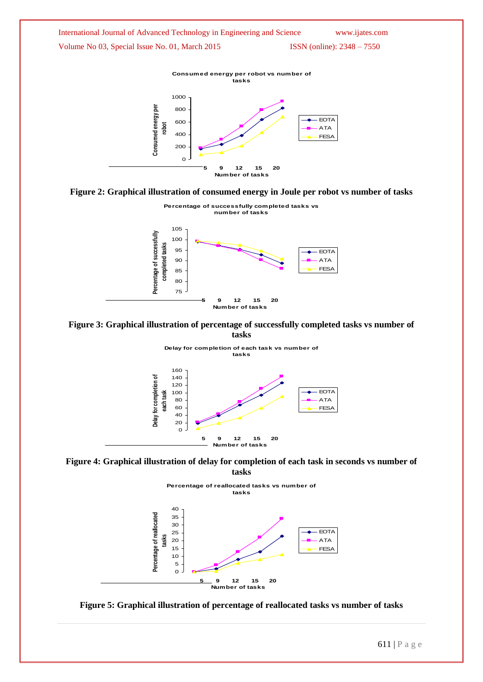









**Figure 4: Graphical illustration of delay for completion of each task in seconds vs number of tasks**







611 | P a g e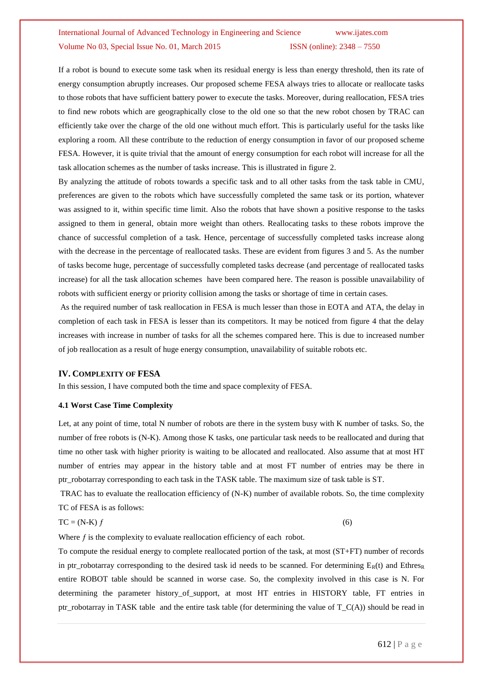If a robot is bound to execute some task when its residual energy is less than energy threshold, then its rate of energy consumption abruptly increases. Our proposed scheme FESA always tries to allocate or reallocate tasks to those robots that have sufficient battery power to execute the tasks. Moreover, during reallocation, FESA tries to find new robots which are geographically close to the old one so that the new robot chosen by TRAC can efficiently take over the charge of the old one without much effort. This is particularly useful for the tasks like exploring a room. All these contribute to the reduction of energy consumption in favor of our proposed scheme FESA. However, it is quite trivial that the amount of energy consumption for each robot will increase for all the task allocation schemes as the number of tasks increase. This is illustrated in figure 2.

By analyzing the attitude of robots towards a specific task and to all other tasks from the task table in CMU, preferences are given to the robots which have successfully completed the same task or its portion, whatever was assigned to it, within specific time limit. Also the robots that have shown a positive response to the tasks assigned to them in general, obtain more weight than others. Reallocating tasks to these robots improve the chance of successful completion of a task. Hence, percentage of successfully completed tasks increase along with the decrease in the percentage of reallocated tasks. These are evident from figures 3 and 5. As the number of tasks become huge, percentage of successfully completed tasks decrease (and percentage of reallocated tasks increase) for all the task allocation schemes have been compared here. The reason is possible unavailability of robots with sufficient energy or priority collision among the tasks or shortage of time in certain cases.

As the required number of task reallocation in FESA is much lesser than those in EOTA and ATA, the delay in completion of each task in FESA is lesser than its competitors. It may be noticed from figure 4 that the delay increases with increase in number of tasks for all the schemes compared here. This is due to increased number of job reallocation as a result of huge energy consumption, unavailability of suitable robots etc.

#### **IV. COMPLEXITY OF FESA**

In this session, I have computed both the time and space complexity of FESA.

### **4.1 Worst Case Time Complexity**

Let, at any point of time, total N number of robots are there in the system busy with K number of tasks. So, the number of free robots is (N-K). Among those K tasks, one particular task needs to be reallocated and during that time no other task with higher priority is waiting to be allocated and reallocated. Also assume that at most HT number of entries may appear in the history table and at most FT number of entries may be there in ptr\_robotarray corresponding to each task in the TASK table. The maximum size of task table is ST.

TRAC has to evaluate the reallocation efficiency of (N-K) number of available robots. So, the time complexity TC of FESA is as follows:

#### $TC = (N-K) f$  (6)

Where  $f$  is the complexity to evaluate reallocation efficiency of each robot.

To compute the residual energy to complete reallocated portion of the task, at most (ST+FT) number of records in ptr\_robotarray corresponding to the desired task id needs to be scanned. For determining  $E_R(t)$  and Ethres<sub>R</sub> entire ROBOT table should be scanned in worse case. So, the complexity involved in this case is N. For determining the parameter history of support, at most HT entries in HISTORY table. FT entries in ptr\_robotarray in TASK table and the entire task table (for determining the value of  $T_C(A)$ ) should be read in